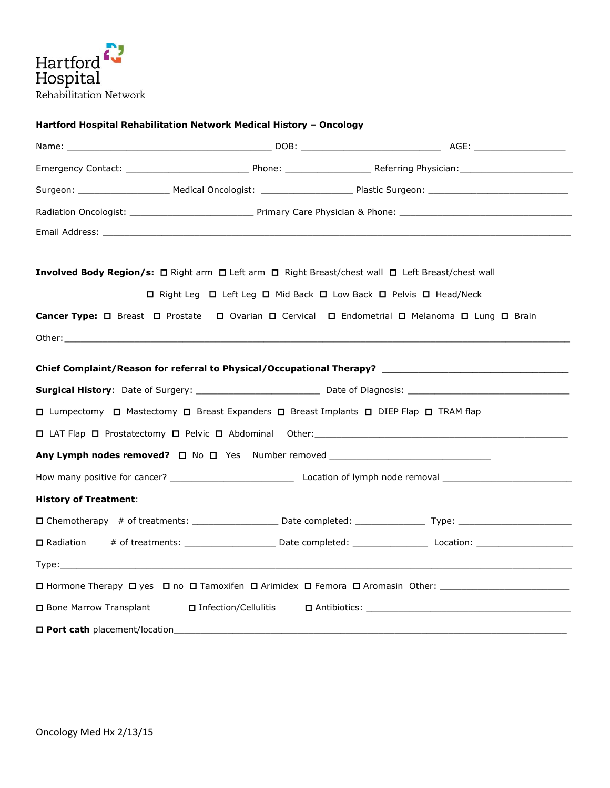

# **Hartford Hospital Rehabilitation Network Medical History – Oncology**

| Involved Body Region/s: □ Right arm □ Left arm □ Right Breast/chest wall □ Left Breast/chest wall |                                                                   |                                                                                                                 |
|---------------------------------------------------------------------------------------------------|-------------------------------------------------------------------|-----------------------------------------------------------------------------------------------------------------|
|                                                                                                   | □ Right Leg □ Left Leg □ Mid Back □ Low Back □ Pelvis □ Head/Neck |                                                                                                                 |
| Cancer Type: □ Breast □ Prostate □ Ovarian □ Cervical □ Endometrial □ Melanoma □ Lung □ Brain     |                                                                   |                                                                                                                 |
|                                                                                                   |                                                                   |                                                                                                                 |
|                                                                                                   |                                                                   |                                                                                                                 |
|                                                                                                   |                                                                   |                                                                                                                 |
| □ Lumpectomy □ Mastectomy □ Breast Expanders □ Breast Implants □ DIEP Flap □ TRAM flap            |                                                                   |                                                                                                                 |
|                                                                                                   |                                                                   |                                                                                                                 |
|                                                                                                   |                                                                   |                                                                                                                 |
|                                                                                                   |                                                                   |                                                                                                                 |
| <b>History of Treatment:</b>                                                                      |                                                                   |                                                                                                                 |
|                                                                                                   |                                                                   |                                                                                                                 |
| □ Radiation                                                                                       |                                                                   |                                                                                                                 |
|                                                                                                   |                                                                   |                                                                                                                 |
|                                                                                                   |                                                                   | □ Hormone Therapy □ yes □ no □ Tamoxifen □ Arimidex □ Femora □ Aromasin Other: ________________________________ |
| <b>O</b> Bone Marrow Transplant                                                                   | □ Infection/Cellulitis                                            |                                                                                                                 |
| D Port cath placement/location_                                                                   |                                                                   |                                                                                                                 |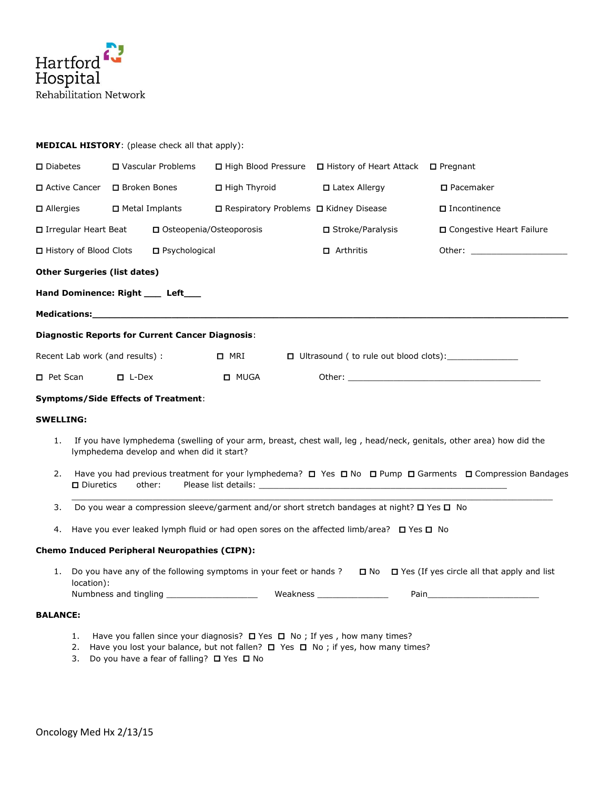

| $\square$ Diabetes<br>□ Vascular Problems   |                                                                       |                                                             |                                                                                                                                                                                                                            |                                                                                                                                                                                                                                                                                                                                                                                                                       |  |                                                                                                                                                                                                                                                                                                                                                                                                                                                                                                                                                                                                                                                                                                                                                                                                  |  |
|---------------------------------------------|-----------------------------------------------------------------------|-------------------------------------------------------------|----------------------------------------------------------------------------------------------------------------------------------------------------------------------------------------------------------------------------|-----------------------------------------------------------------------------------------------------------------------------------------------------------------------------------------------------------------------------------------------------------------------------------------------------------------------------------------------------------------------------------------------------------------------|--|--------------------------------------------------------------------------------------------------------------------------------------------------------------------------------------------------------------------------------------------------------------------------------------------------------------------------------------------------------------------------------------------------------------------------------------------------------------------------------------------------------------------------------------------------------------------------------------------------------------------------------------------------------------------------------------------------------------------------------------------------------------------------------------------------|--|
|                                             |                                                                       |                                                             | □ High Thyroid                                                                                                                                                                                                             | $\Box$ Latex Allergy                                                                                                                                                                                                                                                                                                                                                                                                  |  | $\square$ Pacemaker                                                                                                                                                                                                                                                                                                                                                                                                                                                                                                                                                                                                                                                                                                                                                                              |  |
|                                             |                                                                       |                                                             |                                                                                                                                                                                                                            |                                                                                                                                                                                                                                                                                                                                                                                                                       |  | $\Box$ Incontinence                                                                                                                                                                                                                                                                                                                                                                                                                                                                                                                                                                                                                                                                                                                                                                              |  |
|                                             |                                                                       |                                                             |                                                                                                                                                                                                                            |                                                                                                                                                                                                                                                                                                                                                                                                                       |  | □ Congestive Heart Failure                                                                                                                                                                                                                                                                                                                                                                                                                                                                                                                                                                                                                                                                                                                                                                       |  |
| □ History of Blood Clots<br>□ Psychological |                                                                       |                                                             | $\Box$ Arthritis                                                                                                                                                                                                           |                                                                                                                                                                                                                                                                                                                                                                                                                       |  |                                                                                                                                                                                                                                                                                                                                                                                                                                                                                                                                                                                                                                                                                                                                                                                                  |  |
|                                             |                                                                       |                                                             |                                                                                                                                                                                                                            |                                                                                                                                                                                                                                                                                                                                                                                                                       |  |                                                                                                                                                                                                                                                                                                                                                                                                                                                                                                                                                                                                                                                                                                                                                                                                  |  |
|                                             |                                                                       |                                                             |                                                                                                                                                                                                                            |                                                                                                                                                                                                                                                                                                                                                                                                                       |  |                                                                                                                                                                                                                                                                                                                                                                                                                                                                                                                                                                                                                                                                                                                                                                                                  |  |
|                                             |                                                                       |                                                             |                                                                                                                                                                                                                            |                                                                                                                                                                                                                                                                                                                                                                                                                       |  |                                                                                                                                                                                                                                                                                                                                                                                                                                                                                                                                                                                                                                                                                                                                                                                                  |  |
|                                             |                                                                       |                                                             |                                                                                                                                                                                                                            |                                                                                                                                                                                                                                                                                                                                                                                                                       |  |                                                                                                                                                                                                                                                                                                                                                                                                                                                                                                                                                                                                                                                                                                                                                                                                  |  |
|                                             |                                                                       |                                                             | $\Box$ MRI                                                                                                                                                                                                                 |                                                                                                                                                                                                                                                                                                                                                                                                                       |  |                                                                                                                                                                                                                                                                                                                                                                                                                                                                                                                                                                                                                                                                                                                                                                                                  |  |
|                                             |                                                                       |                                                             | <b>D</b> MUGA                                                                                                                                                                                                              |                                                                                                                                                                                                                                                                                                                                                                                                                       |  |                                                                                                                                                                                                                                                                                                                                                                                                                                                                                                                                                                                                                                                                                                                                                                                                  |  |
|                                             |                                                                       |                                                             |                                                                                                                                                                                                                            |                                                                                                                                                                                                                                                                                                                                                                                                                       |  |                                                                                                                                                                                                                                                                                                                                                                                                                                                                                                                                                                                                                                                                                                                                                                                                  |  |
|                                             |                                                                       |                                                             |                                                                                                                                                                                                                            |                                                                                                                                                                                                                                                                                                                                                                                                                       |  |                                                                                                                                                                                                                                                                                                                                                                                                                                                                                                                                                                                                                                                                                                                                                                                                  |  |
|                                             |                                                                       |                                                             |                                                                                                                                                                                                                            |                                                                                                                                                                                                                                                                                                                                                                                                                       |  |                                                                                                                                                                                                                                                                                                                                                                                                                                                                                                                                                                                                                                                                                                                                                                                                  |  |
|                                             |                                                                       |                                                             |                                                                                                                                                                                                                            |                                                                                                                                                                                                                                                                                                                                                                                                                       |  |                                                                                                                                                                                                                                                                                                                                                                                                                                                                                                                                                                                                                                                                                                                                                                                                  |  |
|                                             |                                                                       |                                                             |                                                                                                                                                                                                                            |                                                                                                                                                                                                                                                                                                                                                                                                                       |  |                                                                                                                                                                                                                                                                                                                                                                                                                                                                                                                                                                                                                                                                                                                                                                                                  |  |
|                                             |                                                                       |                                                             |                                                                                                                                                                                                                            |                                                                                                                                                                                                                                                                                                                                                                                                                       |  |                                                                                                                                                                                                                                                                                                                                                                                                                                                                                                                                                                                                                                                                                                                                                                                                  |  |
|                                             |                                                                       |                                                             |                                                                                                                                                                                                                            |                                                                                                                                                                                                                                                                                                                                                                                                                       |  |                                                                                                                                                                                                                                                                                                                                                                                                                                                                                                                                                                                                                                                                                                                                                                                                  |  |
|                                             |                                                                       |                                                             |                                                                                                                                                                                                                            |                                                                                                                                                                                                                                                                                                                                                                                                                       |  |                                                                                                                                                                                                                                                                                                                                                                                                                                                                                                                                                                                                                                                                                                                                                                                                  |  |
|                                             | □ Active Cancer<br>$\Box$ Allergies<br>□ Pet Scan<br><b>SWELLING:</b> | □ Irregular Heart Beat<br>$\square$ Diuretics<br>location): | □ Broken Bones<br>□ Metal Implants<br><b>Other Surgeries (list dates)</b><br>Hand Dominence: Right ____ Left___<br>Recent Lab work (and results) :<br>$\Box$ L-Dex<br><b>Symptoms/Side Effects of Treatment:</b><br>other: | <b>MEDICAL HISTORY:</b> (please check all that apply):<br>□ Osteopenia/Osteoporosis<br>Medications: Medications: Medications: Medications: Medications: Medications: Medications: Medications: Medica<br><b>Diagnostic Reports for Current Cancer Diagnosis:</b><br>lymphedema develop and when did it start?<br><b>Chemo Induced Peripheral Neuropathies (CIPN):</b><br>Numbness and tingling ______________________ |  | □ High Blood Pressure □ History of Heart Attack □ Pregnant<br>□ Respiratory Problems □ Kidney Disease<br>□ Stroke/Paralysis<br>If you have lymphedema (swelling of your arm, breast, chest wall, leg, head/neck, genitals, other area) how did the<br>Have you had previous treatment for your lymphedema? $\square$ Yes $\square$ No $\square$ Pump $\square$ Garments $\square$ Compression Bandages<br>Do you wear a compression sleeve/garment and/or short stretch bandages at night? $\square$ Yes $\square$ No<br>Have you ever leaked lymph fluid or had open sores on the affected limb/area? $\square$ Yes $\square$ No<br>Do you have any of the following symptoms in your feet or hands ? $\Box$ No $\Box$ Yes (If yes circle all that apply and list<br>Weakness _________________ |  |

## **BALANCE:**

- 1. Have you fallen since your diagnosis?  $\Box$  Yes  $\Box$  No ; If yes , how many times?
- 2. Have you lost your balance, but not fallen?  $\Box$  Yes  $\Box$  No ; if yes, how many times?
- 3. Do you have a fear of falling?  $\Box$  Yes  $\Box$  No